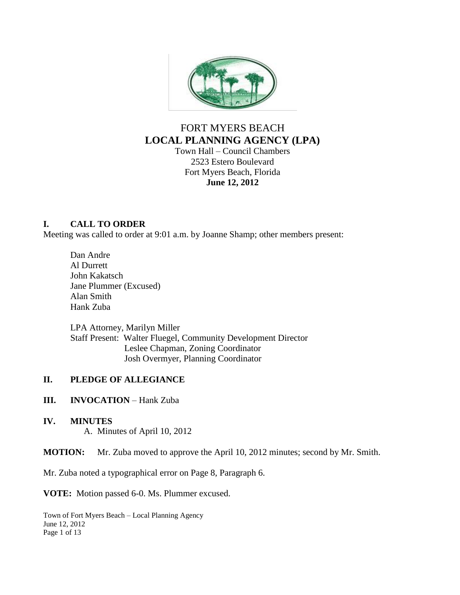

# FORT MYERS BEACH **LOCAL PLANNING AGENCY (LPA)**

Town Hall – Council Chambers 2523 Estero Boulevard Fort Myers Beach, Florida **June 12, 2012**

## **I. CALL TO ORDER**

Meeting was called to order at 9:01 a.m. by Joanne Shamp; other members present:

Dan Andre Al Durrett John Kakatsch Jane Plummer (Excused) Alan Smith Hank Zuba

LPA Attorney, Marilyn Miller Staff Present: Walter Fluegel, Community Development Director Leslee Chapman, Zoning Coordinator Josh Overmyer, Planning Coordinator

## **II. PLEDGE OF ALLEGIANCE**

### **III. INVOCATION** – Hank Zuba

## **IV. MINUTES**

A. Minutes of April 10, 2012

**MOTION:** Mr. Zuba moved to approve the April 10, 2012 minutes; second by Mr. Smith.

Mr. Zuba noted a typographical error on Page 8, Paragraph 6.

**VOTE:** Motion passed 6-0. Ms. Plummer excused.

Town of Fort Myers Beach – Local Planning Agency June 12, 2012 Page 1 of 13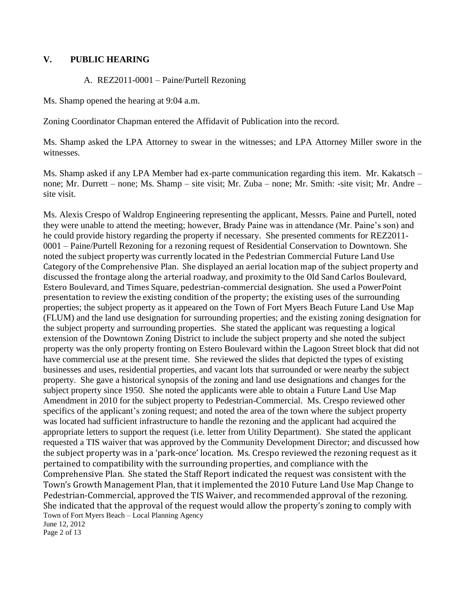### **V. PUBLIC HEARING**

#### A. REZ2011-0001 – Paine/Purtell Rezoning

Ms. Shamp opened the hearing at 9:04 a.m.

Zoning Coordinator Chapman entered the Affidavit of Publication into the record.

Ms. Shamp asked the LPA Attorney to swear in the witnesses; and LPA Attorney Miller swore in the witnesses.

Ms. Shamp asked if any LPA Member had ex-parte communication regarding this item. Mr. Kakatsch – none; Mr. Durrett – none; Ms. Shamp – site visit; Mr. Zuba – none; Mr. Smith: -site visit; Mr. Andre – site visit.

Town of Fort Myers Beach – Local Planning Agency June 12, 2012 Ms. Alexis Crespo of Waldrop Engineering representing the applicant, Messrs. Paine and Purtell, noted they were unable to attend the meeting; however, Brady Paine was in attendance (Mr. Paine"s son) and he could provide history regarding the property if necessary. She presented comments for REZ2011- 0001 – Paine/Purtell Rezoning for a rezoning request of Residential Conservation to Downtown. She noted the subject property was currently located in the Pedestrian Commercial Future Land Use Category of the Comprehensive Plan. She displayed an aerial location map of the subject property and discussed the frontage along the arterial roadway, and proximity to the Old Sand Carlos Boulevard, Estero Boulevard, and Times Square, pedestrian-commercial designation. She used a PowerPoint presentation to review the existing condition of the property; the existing uses of the surrounding properties; the subject property as it appeared on the Town of Fort Myers Beach Future Land Use Map (FLUM) and the land use designation for surrounding properties; and the existing zoning designation for the subject property and surrounding properties. She stated the applicant was requesting a logical extension of the Downtown Zoning District to include the subject property and she noted the subject property was the only property fronting on Estero Boulevard within the Lagoon Street block that did not have commercial use at the present time. She reviewed the slides that depicted the types of existing businesses and uses, residential properties, and vacant lots that surrounded or were nearby the subject property. She gave a historical synopsis of the zoning and land use designations and changes for the subject property since 1950. She noted the applicants were able to obtain a Future Land Use Map Amendment in 2010 for the subject property to Pedestrian-Commercial. Ms. Crespo reviewed other specifics of the applicant's zoning request; and noted the area of the town where the subject property was located had sufficient infrastructure to handle the rezoning and the applicant had acquired the appropriate letters to support the request (i.e. letter from Utility Department). She stated the applicant requested a TIS waiver that was approved by the Community Development Director; and discussed how the subject property was in a 'park-once' location. Ms. Crespo reviewed the rezoning request as it pertained to compatibility with the surrounding properties, and compliance with the Comprehensive Plan. She stated the Staff Report indicated the request was consistent with the Town's Growth Management Plan, that it implemented the 2010 Future Land Use Map Change to Pedestrian-Commercial, approved the TIS Waiver, and recommended approval of the rezoning. She indicated that the approval of the request would allow the property's zoning to comply with

Page 2 of 13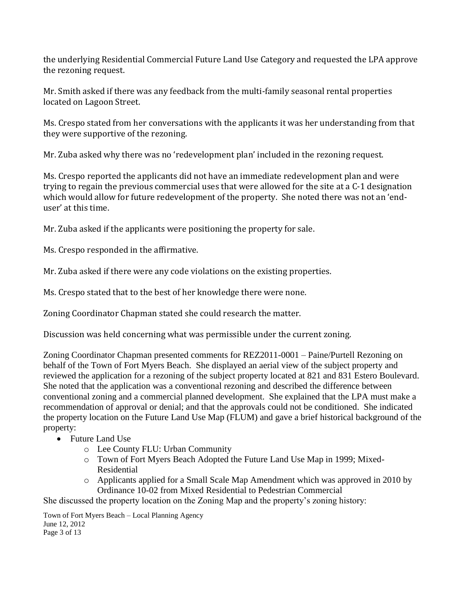the underlying Residential Commercial Future Land Use Category and requested the LPA approve the rezoning request.

Mr. Smith asked if there was any feedback from the multi-family seasonal rental properties located on Lagoon Street.

Ms. Crespo stated from her conversations with the applicants it was her understanding from that they were supportive of the rezoning.

Mr. Zuba asked why there was no 'redevelopment plan' included in the rezoning request.

Ms. Crespo reported the applicants did not have an immediate redevelopment plan and were trying to regain the previous commercial uses that were allowed for the site at a C-1 designation which would allow for future redevelopment of the property. She noted there was not an 'enduser' at this time.

Mr. Zuba asked if the applicants were positioning the property for sale.

Ms. Crespo responded in the affirmative.

Mr. Zuba asked if there were any code violations on the existing properties.

Ms. Crespo stated that to the best of her knowledge there were none.

Zoning Coordinator Chapman stated she could research the matter.

Discussion was held concerning what was permissible under the current zoning.

Zoning Coordinator Chapman presented comments for REZ2011-0001 – Paine/Purtell Rezoning on behalf of the Town of Fort Myers Beach. She displayed an aerial view of the subject property and reviewed the application for a rezoning of the subject property located at 821 and 831 Estero Boulevard. She noted that the application was a conventional rezoning and described the difference between conventional zoning and a commercial planned development. She explained that the LPA must make a recommendation of approval or denial; and that the approvals could not be conditioned. She indicated the property location on the Future Land Use Map (FLUM) and gave a brief historical background of the property:

- Future Land Use
	- o Lee County FLU: Urban Community
	- o Town of Fort Myers Beach Adopted the Future Land Use Map in 1999; Mixed-Residential
	- o Applicants applied for a Small Scale Map Amendment which was approved in 2010 by Ordinance 10-02 from Mixed Residential to Pedestrian Commercial

She discussed the property location on the Zoning Map and the property"s zoning history:

Town of Fort Myers Beach – Local Planning Agency June 12, 2012 Page 3 of 13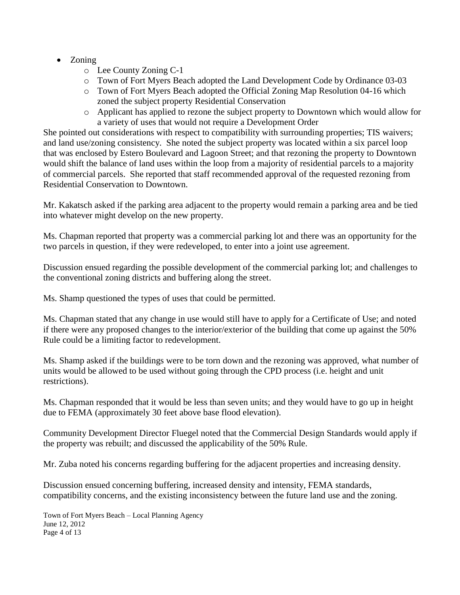- Zoning
	- o Lee County Zoning C-1
	- o Town of Fort Myers Beach adopted the Land Development Code by Ordinance 03-03
	- o Town of Fort Myers Beach adopted the Official Zoning Map Resolution 04-16 which zoned the subject property Residential Conservation
	- o Applicant has applied to rezone the subject property to Downtown which would allow for a variety of uses that would not require a Development Order

She pointed out considerations with respect to compatibility with surrounding properties; TIS waivers; and land use/zoning consistency. She noted the subject property was located within a six parcel loop that was enclosed by Estero Boulevard and Lagoon Street; and that rezoning the property to Downtown would shift the balance of land uses within the loop from a majority of residential parcels to a majority of commercial parcels. She reported that staff recommended approval of the requested rezoning from Residential Conservation to Downtown.

Mr. Kakatsch asked if the parking area adjacent to the property would remain a parking area and be tied into whatever might develop on the new property.

Ms. Chapman reported that property was a commercial parking lot and there was an opportunity for the two parcels in question, if they were redeveloped, to enter into a joint use agreement.

Discussion ensued regarding the possible development of the commercial parking lot; and challenges to the conventional zoning districts and buffering along the street.

Ms. Shamp questioned the types of uses that could be permitted.

Ms. Chapman stated that any change in use would still have to apply for a Certificate of Use; and noted if there were any proposed changes to the interior/exterior of the building that come up against the 50% Rule could be a limiting factor to redevelopment.

Ms. Shamp asked if the buildings were to be torn down and the rezoning was approved, what number of units would be allowed to be used without going through the CPD process (i.e. height and unit restrictions).

Ms. Chapman responded that it would be less than seven units; and they would have to go up in height due to FEMA (approximately 30 feet above base flood elevation).

Community Development Director Fluegel noted that the Commercial Design Standards would apply if the property was rebuilt; and discussed the applicability of the 50% Rule.

Mr. Zuba noted his concerns regarding buffering for the adjacent properties and increasing density.

Discussion ensued concerning buffering, increased density and intensity, FEMA standards, compatibility concerns, and the existing inconsistency between the future land use and the zoning.

Town of Fort Myers Beach – Local Planning Agency June 12, 2012 Page 4 of 13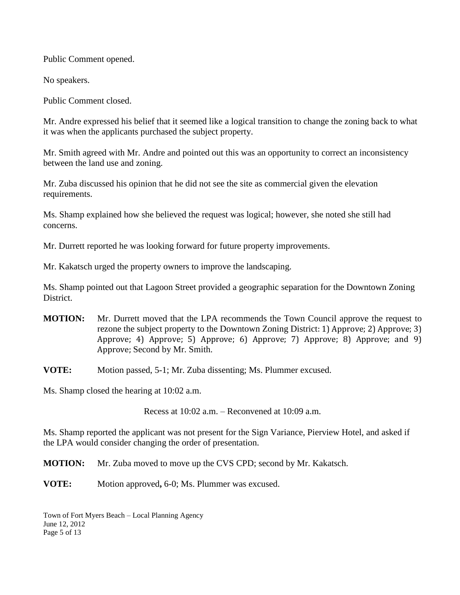Public Comment opened.

No speakers.

Public Comment closed.

Mr. Andre expressed his belief that it seemed like a logical transition to change the zoning back to what it was when the applicants purchased the subject property.

Mr. Smith agreed with Mr. Andre and pointed out this was an opportunity to correct an inconsistency between the land use and zoning.

Mr. Zuba discussed his opinion that he did not see the site as commercial given the elevation requirements.

Ms. Shamp explained how she believed the request was logical; however, she noted she still had concerns.

Mr. Durrett reported he was looking forward for future property improvements.

Mr. Kakatsch urged the property owners to improve the landscaping.

Ms. Shamp pointed out that Lagoon Street provided a geographic separation for the Downtown Zoning District.

- **MOTION:** Mr. Durrett moved that the LPA recommends the Town Council approve the request to rezone the subject property to the Downtown Zoning District: 1) Approve; 2) Approve; 3) Approve; 4) Approve; 5) Approve; 6) Approve; 7) Approve; 8) Approve; and 9) Approve; Second by Mr. Smith.
- **VOTE:** Motion passed, 5-1; Mr. Zuba dissenting; Ms. Plummer excused.

Ms. Shamp closed the hearing at 10:02 a.m.

Recess at 10:02 a.m. – Reconvened at 10:09 a.m.

Ms. Shamp reported the applicant was not present for the Sign Variance, Pierview Hotel, and asked if the LPA would consider changing the order of presentation.

**MOTION:** Mr. Zuba moved to move up the CVS CPD; second by Mr. Kakatsch.

**VOTE:** Motion approved**,** 6-0; Ms. Plummer was excused.

Town of Fort Myers Beach – Local Planning Agency June 12, 2012 Page 5 of 13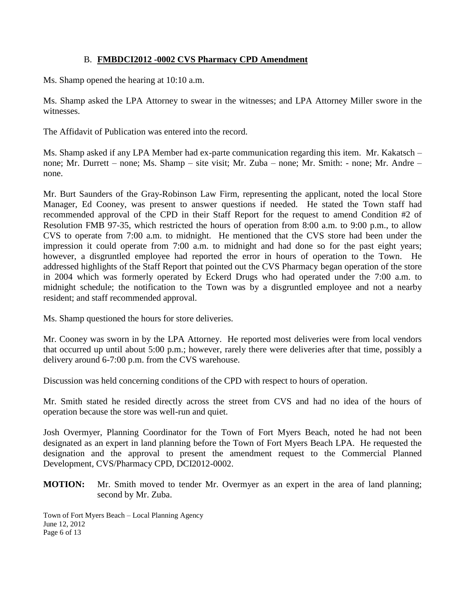### B. **FMBDCI2012 -0002 CVS Pharmacy CPD Amendment**

Ms. Shamp opened the hearing at 10:10 a.m.

Ms. Shamp asked the LPA Attorney to swear in the witnesses; and LPA Attorney Miller swore in the witnesses.

The Affidavit of Publication was entered into the record.

Ms. Shamp asked if any LPA Member had ex-parte communication regarding this item. Mr. Kakatsch – none; Mr. Durrett – none; Ms. Shamp – site visit; Mr. Zuba – none; Mr. Smith: - none; Mr. Andre – none.

Mr. Burt Saunders of the Gray-Robinson Law Firm, representing the applicant, noted the local Store Manager, Ed Cooney, was present to answer questions if needed. He stated the Town staff had recommended approval of the CPD in their Staff Report for the request to amend Condition #2 of Resolution FMB 97-35, which restricted the hours of operation from 8:00 a.m. to 9:00 p.m., to allow CVS to operate from 7:00 a.m. to midnight. He mentioned that the CVS store had been under the impression it could operate from 7:00 a.m. to midnight and had done so for the past eight years; however, a disgruntled employee had reported the error in hours of operation to the Town. He addressed highlights of the Staff Report that pointed out the CVS Pharmacy began operation of the store in 2004 which was formerly operated by Eckerd Drugs who had operated under the 7:00 a.m. to midnight schedule; the notification to the Town was by a disgruntled employee and not a nearby resident; and staff recommended approval.

Ms. Shamp questioned the hours for store deliveries.

Mr. Cooney was sworn in by the LPA Attorney. He reported most deliveries were from local vendors that occurred up until about 5:00 p.m.; however, rarely there were deliveries after that time, possibly a delivery around 6-7:00 p.m. from the CVS warehouse.

Discussion was held concerning conditions of the CPD with respect to hours of operation.

Mr. Smith stated he resided directly across the street from CVS and had no idea of the hours of operation because the store was well-run and quiet.

Josh Overmyer, Planning Coordinator for the Town of Fort Myers Beach, noted he had not been designated as an expert in land planning before the Town of Fort Myers Beach LPA. He requested the designation and the approval to present the amendment request to the Commercial Planned Development, CVS/Pharmacy CPD, DCI2012-0002.

**MOTION:** Mr. Smith moved to tender Mr. Overmyer as an expert in the area of land planning; second by Mr. Zuba.

Town of Fort Myers Beach – Local Planning Agency June 12, 2012 Page 6 of 13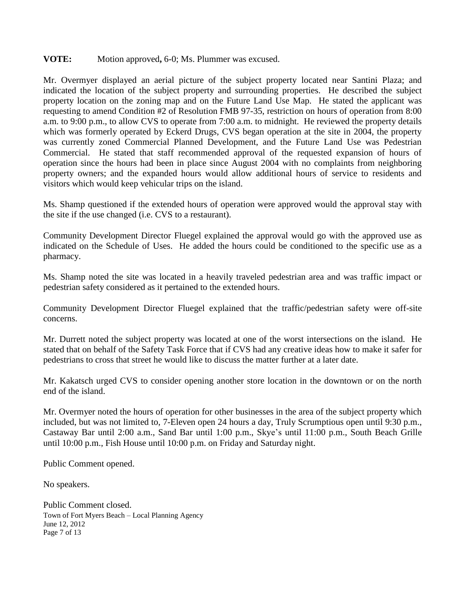#### **VOTE:** Motion approved**,** 6-0; Ms. Plummer was excused.

Mr. Overmyer displayed an aerial picture of the subject property located near Santini Plaza; and indicated the location of the subject property and surrounding properties. He described the subject property location on the zoning map and on the Future Land Use Map. He stated the applicant was requesting to amend Condition #2 of Resolution FMB 97-35, restriction on hours of operation from 8:00 a.m. to 9:00 p.m., to allow CVS to operate from 7:00 a.m. to midnight. He reviewed the property details which was formerly operated by Eckerd Drugs, CVS began operation at the site in 2004, the property was currently zoned Commercial Planned Development, and the Future Land Use was Pedestrian Commercial. He stated that staff recommended approval of the requested expansion of hours of operation since the hours had been in place since August 2004 with no complaints from neighboring property owners; and the expanded hours would allow additional hours of service to residents and visitors which would keep vehicular trips on the island.

Ms. Shamp questioned if the extended hours of operation were approved would the approval stay with the site if the use changed (i.e. CVS to a restaurant).

Community Development Director Fluegel explained the approval would go with the approved use as indicated on the Schedule of Uses. He added the hours could be conditioned to the specific use as a pharmacy.

Ms. Shamp noted the site was located in a heavily traveled pedestrian area and was traffic impact or pedestrian safety considered as it pertained to the extended hours.

Community Development Director Fluegel explained that the traffic/pedestrian safety were off-site concerns.

Mr. Durrett noted the subject property was located at one of the worst intersections on the island. He stated that on behalf of the Safety Task Force that if CVS had any creative ideas how to make it safer for pedestrians to cross that street he would like to discuss the matter further at a later date.

Mr. Kakatsch urged CVS to consider opening another store location in the downtown or on the north end of the island.

Mr. Overmyer noted the hours of operation for other businesses in the area of the subject property which included, but was not limited to, 7-Eleven open 24 hours a day, Truly Scrumptious open until 9:30 p.m., Castaway Bar until 2:00 a.m., Sand Bar until 1:00 p.m., Skye"s until 11:00 p.m., South Beach Grille until 10:00 p.m., Fish House until 10:00 p.m. on Friday and Saturday night.

Public Comment opened.

No speakers.

Town of Fort Myers Beach – Local Planning Agency June 12, 2012 Page 7 of 13 Public Comment closed.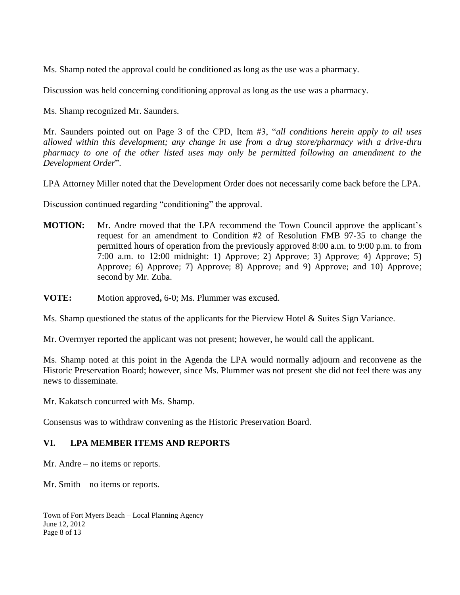Ms. Shamp noted the approval could be conditioned as long as the use was a pharmacy.

Discussion was held concerning conditioning approval as long as the use was a pharmacy.

Ms. Shamp recognized Mr. Saunders.

Mr. Saunders pointed out on Page 3 of the CPD, Item #3, "*all conditions herein apply to all uses allowed within this development; any change in use from a drug store/pharmacy with a drive-thru pharmacy to one of the other listed uses may only be permitted following an amendment to the Development Order*".

LPA Attorney Miller noted that the Development Order does not necessarily come back before the LPA.

Discussion continued regarding "conditioning" the approval.

- **MOTION:** Mr. Andre moved that the LPA recommend the Town Council approve the applicant's request for an amendment to Condition #2 of Resolution FMB 97-35 to change the permitted hours of operation from the previously approved 8:00 a.m. to 9:00 p.m. to from 7:00 a.m. to 12:00 midnight: 1) Approve; 2) Approve; 3) Approve; 4) Approve; 5) Approve; 6) Approve; 7) Approve; 8) Approve; and 9) Approve; and 10) Approve; second by Mr. Zuba.
- **VOTE:** Motion approved**,** 6-0; Ms. Plummer was excused.

Ms. Shamp questioned the status of the applicants for the Pierview Hotel & Suites Sign Variance.

Mr. Overmyer reported the applicant was not present; however, he would call the applicant.

Ms. Shamp noted at this point in the Agenda the LPA would normally adjourn and reconvene as the Historic Preservation Board; however, since Ms. Plummer was not present she did not feel there was any news to disseminate.

Mr. Kakatsch concurred with Ms. Shamp.

Consensus was to withdraw convening as the Historic Preservation Board.

### **VI. LPA MEMBER ITEMS AND REPORTS**

Mr. Andre – no items or reports.

Mr. Smith – no items or reports.

Town of Fort Myers Beach – Local Planning Agency June 12, 2012 Page 8 of 13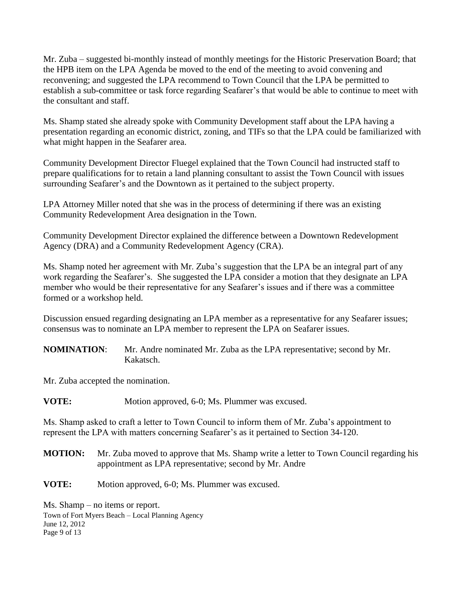Mr. Zuba – suggested bi-monthly instead of monthly meetings for the Historic Preservation Board; that the HPB item on the LPA Agenda be moved to the end of the meeting to avoid convening and reconvening; and suggested the LPA recommend to Town Council that the LPA be permitted to establish a sub-committee or task force regarding Seafarer"s that would be able to continue to meet with the consultant and staff.

Ms. Shamp stated she already spoke with Community Development staff about the LPA having a presentation regarding an economic district, zoning, and TIFs so that the LPA could be familiarized with what might happen in the Seafarer area.

Community Development Director Fluegel explained that the Town Council had instructed staff to prepare qualifications for to retain a land planning consultant to assist the Town Council with issues surrounding Seafarer's and the Downtown as it pertained to the subject property.

LPA Attorney Miller noted that she was in the process of determining if there was an existing Community Redevelopment Area designation in the Town.

Community Development Director explained the difference between a Downtown Redevelopment Agency (DRA) and a Community Redevelopment Agency (CRA).

Ms. Shamp noted her agreement with Mr. Zuba"s suggestion that the LPA be an integral part of any work regarding the Seafarer"s. She suggested the LPA consider a motion that they designate an LPA member who would be their representative for any Seafarer's issues and if there was a committee formed or a workshop held.

Discussion ensued regarding designating an LPA member as a representative for any Seafarer issues; consensus was to nominate an LPA member to represent the LPA on Seafarer issues.

**NOMINATION**: Mr. Andre nominated Mr. Zuba as the LPA representative; second by Mr. Kakatsch.

Mr. Zuba accepted the nomination.

**VOTE:** Motion approved, 6-0; Ms. Plummer was excused.

Ms. Shamp asked to craft a letter to Town Council to inform them of Mr. Zuba"s appointment to represent the LPA with matters concerning Seafarer's as it pertained to Section 34-120.

- **MOTION:** Mr. Zuba moved to approve that Ms. Shamp write a letter to Town Council regarding his appointment as LPA representative; second by Mr. Andre
- **VOTE:** Motion approved, 6-0; Ms. Plummer was excused.

Town of Fort Myers Beach – Local Planning Agency June 12, 2012 Page 9 of 13 Ms. Shamp – no items or report.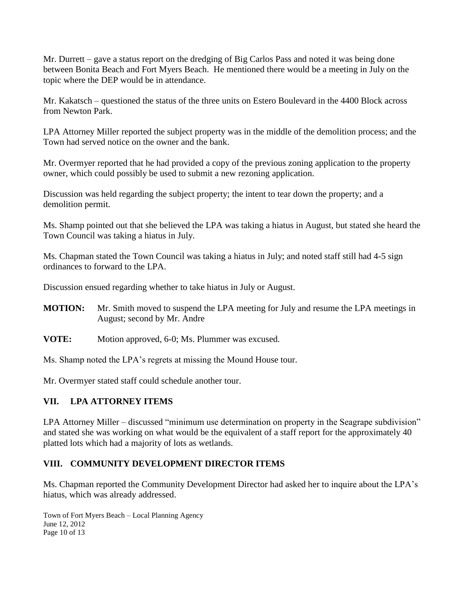Mr. Durrett – gave a status report on the dredging of Big Carlos Pass and noted it was being done between Bonita Beach and Fort Myers Beach. He mentioned there would be a meeting in July on the topic where the DEP would be in attendance.

Mr. Kakatsch – questioned the status of the three units on Estero Boulevard in the 4400 Block across from Newton Park.

LPA Attorney Miller reported the subject property was in the middle of the demolition process; and the Town had served notice on the owner and the bank.

Mr. Overmyer reported that he had provided a copy of the previous zoning application to the property owner, which could possibly be used to submit a new rezoning application.

Discussion was held regarding the subject property; the intent to tear down the property; and a demolition permit.

Ms. Shamp pointed out that she believed the LPA was taking a hiatus in August, but stated she heard the Town Council was taking a hiatus in July.

Ms. Chapman stated the Town Council was taking a hiatus in July; and noted staff still had 4-5 sign ordinances to forward to the LPA.

Discussion ensued regarding whether to take hiatus in July or August.

- **MOTION:** Mr. Smith moved to suspend the LPA meeting for July and resume the LPA meetings in August; second by Mr. Andre
- **VOTE:** Motion approved, 6-0; Ms. Plummer was excused.

Ms. Shamp noted the LPA"s regrets at missing the Mound House tour.

Mr. Overmyer stated staff could schedule another tour.

# **VII. LPA ATTORNEY ITEMS**

LPA Attorney Miller – discussed "minimum use determination on property in the Seagrape subdivision" and stated she was working on what would be the equivalent of a staff report for the approximately 40 platted lots which had a majority of lots as wetlands.

# **VIII. COMMUNITY DEVELOPMENT DIRECTOR ITEMS**

Ms. Chapman reported the Community Development Director had asked her to inquire about the LPA"s hiatus, which was already addressed.

Town of Fort Myers Beach – Local Planning Agency June 12, 2012 Page 10 of 13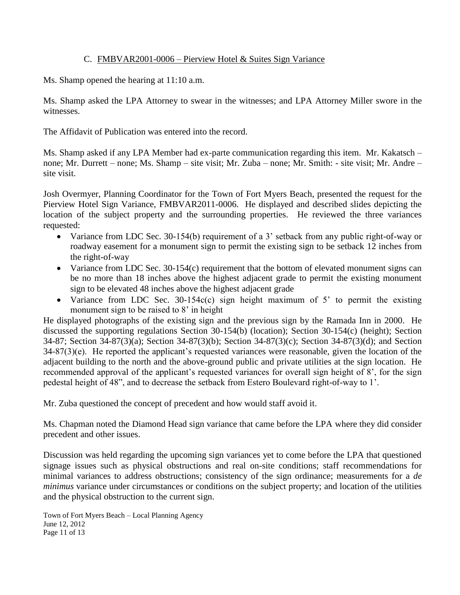#### C. FMBVAR2001-0006 – Pierview Hotel & Suites Sign Variance

Ms. Shamp opened the hearing at 11:10 a.m.

Ms. Shamp asked the LPA Attorney to swear in the witnesses; and LPA Attorney Miller swore in the witnesses.

The Affidavit of Publication was entered into the record.

Ms. Shamp asked if any LPA Member had ex-parte communication regarding this item. Mr. Kakatsch – none; Mr. Durrett – none; Ms. Shamp – site visit; Mr. Zuba – none; Mr. Smith: - site visit; Mr. Andre – site visit.

Josh Overmyer, Planning Coordinator for the Town of Fort Myers Beach, presented the request for the Pierview Hotel Sign Variance, FMBVAR2011-0006. He displayed and described slides depicting the location of the subject property and the surrounding properties. He reviewed the three variances requested:

- Variance from LDC Sec. 30-154(b) requirement of a 3" setback from any public right-of-way or roadway easement for a monument sign to permit the existing sign to be setback 12 inches from the right-of-way
- Variance from LDC Sec. 30-154(c) requirement that the bottom of elevated monument signs can be no more than 18 inches above the highest adjacent grade to permit the existing monument sign to be elevated 48 inches above the highest adjacent grade
- Variance from LDC Sec.  $30-154c(c)$  sign height maximum of 5' to permit the existing monument sign to be raised to 8' in height

He displayed photographs of the existing sign and the previous sign by the Ramada Inn in 2000. He discussed the supporting regulations Section 30-154(b) (location); Section 30-154(c) (height); Section 34-87; Section 34-87(3)(a); Section 34-87(3)(b); Section 34-87(3)(c); Section 34-87(3)(d); and Section  $34-87(3)$ (e). He reported the applicant's requested variances were reasonable, given the location of the adjacent building to the north and the above-ground public and private utilities at the sign location. He recommended approval of the applicant's requested variances for overall sign height of 8', for the sign pedestal height of 48", and to decrease the setback from Estero Boulevard right-of-way to 1".

Mr. Zuba questioned the concept of precedent and how would staff avoid it.

Ms. Chapman noted the Diamond Head sign variance that came before the LPA where they did consider precedent and other issues.

Discussion was held regarding the upcoming sign variances yet to come before the LPA that questioned signage issues such as physical obstructions and real on-site conditions; staff recommendations for minimal variances to address obstructions; consistency of the sign ordinance; measurements for a *de minimus* variance under circumstances or conditions on the subject property; and location of the utilities and the physical obstruction to the current sign.

Town of Fort Myers Beach – Local Planning Agency June 12, 2012 Page 11 of 13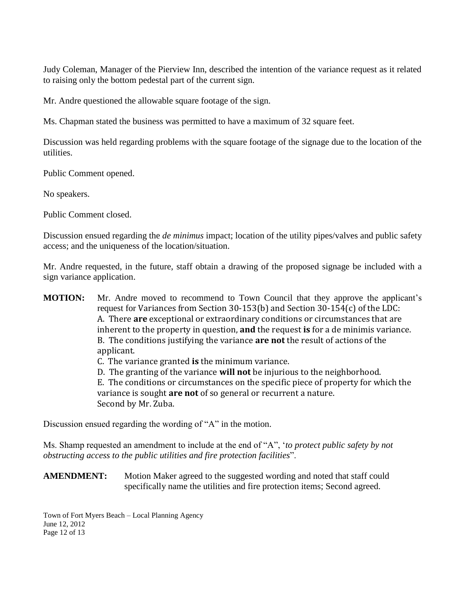Judy Coleman, Manager of the Pierview Inn, described the intention of the variance request as it related to raising only the bottom pedestal part of the current sign.

Mr. Andre questioned the allowable square footage of the sign.

Ms. Chapman stated the business was permitted to have a maximum of 32 square feet.

Discussion was held regarding problems with the square footage of the signage due to the location of the utilities.

Public Comment opened.

No speakers.

Public Comment closed.

Discussion ensued regarding the *de minimus* impact; location of the utility pipes/valves and public safety access; and the uniqueness of the location/situation.

Mr. Andre requested, in the future, staff obtain a drawing of the proposed signage be included with a sign variance application.

- **MOTION:** Mr. Andre moved to recommend to Town Council that they approve the applicant's request for Variances from Section 30-153(b) and Section 30-154(c) of the LDC: A. There **are** exceptional or extraordinary conditions or circumstances that are inherent to the property in question, **and** the request **is** for a de minimis variance. B. The conditions justifying the variance **are not** the result of actions of the applicant.
	- C. The variance granted **is** the minimum variance.
	- D. The granting of the variance **will not** be injurious to the neighborhood.

E. The conditions or circumstances on the specific piece of property for which the variance is sought **are not** of so general or recurrent a nature. Second by Mr. Zuba.

Discussion ensued regarding the wording of "A" in the motion.

Ms. Shamp requested an amendment to include at the end of "A", "*to protect public safety by not obstructing access to the public utilities and fire protection facilities*".

**AMENDMENT:** Motion Maker agreed to the suggested wording and noted that staff could specifically name the utilities and fire protection items; Second agreed.

Town of Fort Myers Beach – Local Planning Agency June 12, 2012 Page 12 of 13